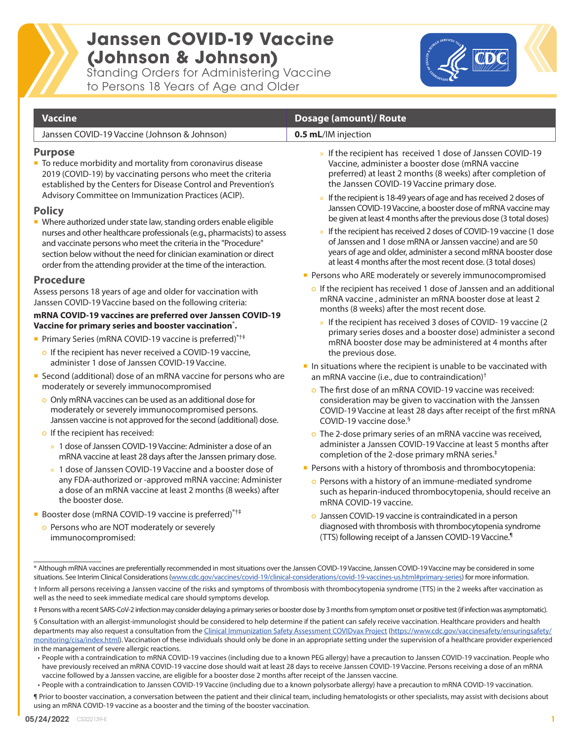# **Janssen COVID-19 Vaccine (Johnson & Johnson)**

Standing Orders for Administering Vaccine to Persons 18 Years of Age and Older



#### **Vaccine Dosage (amount)/ Route**  Janssen COVID-19 Vaccine (Johnson & Johnson) **0.5 mL**/IM injection **Purpose** ■ To reduce morbidity and mortality from coronavirus disease 2019 (COVID-19) by vaccinating persons who meet the criteria established by the Centers for Disease Control and Prevention's Advisory Committee on Immunization Practices (ACIP). **Policy** ■ Where authorized under state law, standing orders enable eligible nurses and other healthcare professionals (e.g., pharmacists) to assess and vaccinate persons who meet the criteria in the "Procedure" section below without the need for clinician examination or direct order from the attending provider at the time of the interaction. **Procedure** Assess persons 18 years of age and older for vaccination with Janssen COVID-19 Vaccine based on the following criteria: **mRNA COVID-19 vaccines are preferred over Janssen COVID-19 Vaccine for primary series and booster vaccination**\* **.**  ■ Primary Series (mRNA COVID-19 vaccine is preferred)<sup>\*†‡</sup> o If the recipient has never received a COVID-19 vaccine. administer 1 dose of Janssen COVID-19 Vaccine. ■ Second (additional) dose of an mRNA vaccine for persons who are moderately or severely immunocompromised ○ Only mRNA vaccines can be used as an additional dose for moderately or severely immunocompromised persons. Janssen vaccine is not approved for the second (additional) dose. o If the recipient has received: » 1 dose of Janssen COVID-19 Vaccine: Administer a dose of an mRNA vaccine at least 28 days after the Janssen primary dose. » 1 dose of Janssen COVID-19 Vaccine and a booster dose of any FDA-authorized or -approved mRNA vaccine: Administer » If the recipient has received 1 dose of Janssen COVID-19 Vaccine, administer a booster dose (mRNA vaccine preferred) at least 2 months (8 weeks) after completion of the Janssen COVID-19 Vaccine primary dose. If the recipient is 18-49 years of age and has received 2 doses of Janssen COVID-19 Vaccine, a booster dose of mRNA vaccine may be given at least 4 months after the previous dose (3 total doses) If the recipient has received 2 doses of COVID-19 vaccine (1 dose of Janssen and 1 dose mRNA or Janssen vaccine) and are 50 years of age and older, administer a second mRNA booster dose at least 4 months after the most recent dose. (3 total doses) **Persons who ARE moderately or severely immunocompromised** ○ If the recipient has received 1 dose of Janssen and an additional mRNA vaccine , administer an mRNA booster dose at least 2 months (8 weeks) after the most recent dose. » If the recipient has received 3 doses of COVID- 19 vaccine (2 primary series doses and a booster dose) administer a second mRNA booster dose may be administered at 4 months after the previous dose.  $\blacksquare$  In situations where the recipient is unable to be vaccinated with an mRNA vaccine (i.e., due to contraindication)<sup>†</sup> ○ The first dose of an mRNA COVID-19 vaccine was received: consideration may be given to vaccination with the Janssen COVID-19 Vaccine at least 28 days after receipt of the first mRNA COVID-19 vaccine dose.§ ○ The 2-dose primary series of an mRNA vaccine was received, administer a Janssen COVID-19 Vaccine at least 5 months after completion of the 2-dose primary mRNA series.‡ **Persons with a history of thrombosis and thrombocytopenia:**

- a dose of an mRNA vaccine at least 2 months (8 weeks) after the booster dose.
- Booster dose (mRNA COVID-19 vaccine is preferred)<sup>\*†‡</sup>
	- Persons who are NOT moderately or severely immunocompromised:
- Persons with a history of an immune-mediated syndrome such as heparin-induced thrombocytopenia, should receive an mRNA COVID-19 vaccine.
- Janssen COVID-19 vaccine is contraindicated in a person diagnosed with thrombosis with thrombocytopenia syndrome (TTS) following receipt of a Janssen COVID-19 Vaccine.¶

<sup>\*</sup> Although mRNA vaccines are preferentially recommended in most situations over the Janssen COVID-19 Vaccine, Janssen COVID-19 Vaccine may be considered in some situations. See Interim Clinical Considerations [\(www.cdc.gov/vaccines/covid-19/clinical-considerations/covid-19-vaccines-us.html#primary-series\)](http://www.cdc.gov/vaccines/covid-19/clinical-considerations/covid-19-vaccines-us.html#primary-series) for more information.

<sup>†</sup> Inform all persons receiving a Janssen vaccine of the risks and symptoms of thrombosis with thrombocytopenia syndrome (TTS) in the 2 weeks after vaccination as well as the need to seek immediate medical care should symptoms develop.

<sup>‡</sup> Persons with a recent SARS-CoV-2 infection may consider delaying a primary series or booster dose by 3 months from symptom onset or positive test (if infection was asymptomatic).

<sup>§</sup> Consultation with an allergist-immunologist should be considered to help determine if the patient can safely receive vaccination. Healthcare providers and health departments may also request a consultation from the [Clinical Immunization Safety Assessment COVIDvax Project](https://www.cdc.gov/vaccinesafety/ensuringsafety/monitoring/cisa/index.html) ([https://www.cdc.gov/vaccinesafety/ensuringsafety/](https://www.cdc.gov/vaccinesafety/ensuringsafety/monitoring/cisa/index.html) [monitoring/cisa/index.html\)](https://www.cdc.gov/vaccinesafety/ensuringsafety/monitoring/cisa/index.html). Vaccination of these individuals should only be done in an appropriate setting under the supervision of a healthcare provider experienced in the management of severe allergic reactions.

<sup>•</sup> People with a contraindication to mRNA COVID-19 vaccines (including due to a known PEG allergy) have a precaution to Janssen COVID-19 vaccination. People who have previously received an mRNA COVID-19 vaccine dose should wait at least 28 days to receive Janssen COVID-19 Vaccine. Persons receiving a dose of an mRNA vaccine followed by a Janssen vaccine, are eligible for a booster dose 2 months after receipt of the Janssen vaccine.

<sup>•</sup> People with a contraindication to Janssen COVID-19 Vaccine (including due to a known polysorbate allergy) have a precaution to mRNA COVID-19 vaccination.

<sup>¶</sup> Prior to booster vaccination, a conversation between the patient and their clinical team, including hematologists or other specialists, may assist with decisions about using an mRNA COVID-19 vaccine as a booster and the timing of the booster vaccination.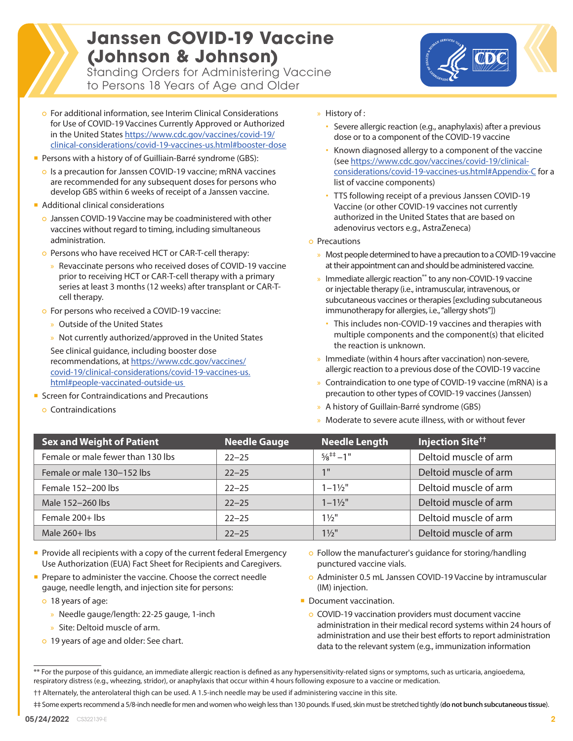## **Janssen COVID-19 Vaccine (Johnson & Johnson)**

Standing Orders for Administering Vaccine to Persons 18 Years of Age and Older



- For additional information, see Interim Clinical Considerations for Use of COVID-19 Vaccines Currently Approved or Authorized in the United States [https://www.cdc.gov/vaccines/covid-19/](https://www.cdc.gov/vaccines/covid-19/clinical-considerations/covid-19-vaccines-us.html#booster-dose) [clinical-considerations/covid-19-vaccines-us.html#booster-dose](https://www.cdc.gov/vaccines/covid-19/clinical-considerations/covid-19-vaccines-us.html#booster-dose)
- **Persons with a history of of Guilliain-Barré syndrome (GBS):** 
	- o Is a precaution for Janssen COVID-19 vaccine; mRNA vaccines are recommended for any subsequent doses for persons who develop GBS within 6 weeks of receipt of a Janssen vaccine.
- **Additional clinical considerations** 
	- Janssen COVID-19 Vaccine may be coadministered with other vaccines without regard to timing, including simultaneous administration.
	- Persons who have received HCT or CAR-T-cell therapy:
		- » Revaccinate persons who received doses of COVID-19 vaccine prior to receiving HCT or CAR-T-cell therapy with a primary series at least 3 months (12 weeks) after transplant or CAR-Tcell therapy.
	- For persons who received a COVID-19 vaccine:
		- » Outside of the United States
		- » Not currently authorized/approved in the United States

See clinical guidance, including booster dose recommendations, at [https://www.cdc.gov/vaccines/](https://www.cdc.gov/vaccines/covid-19/clinical-considerations/covid-19-vaccines-us.html#people-vacci) [covid-19/clinical-considerations/covid-19-vaccines-us.](https://www.cdc.gov/vaccines/covid-19/clinical-considerations/covid-19-vaccines-us.html#people-vacci) [html#people-vaccinated-outside-us](https://www.cdc.gov/vaccines/covid-19/clinical-considerations/covid-19-vaccines-us.html#people-vacci) 

- Screen for Contraindications and Precautions
	- Contraindications
- » History of :
	- Severe allergic reaction (e.g., anaphylaxis) after a previous dose or to a component of the COVID-19 vaccine
	- Known diagnosed allergy to a component of the vaccine (see [https://www.cdc.gov/vaccines/covid-19/clinical](https://www.cdc.gov/vaccines/covid-19/clinical-considerations/covid-19-vaccines-us.html#Appendix-C)[considerations/covid-19-vaccines-us.html#Appendix-C](https://www.cdc.gov/vaccines/covid-19/clinical-considerations/covid-19-vaccines-us.html#Appendix-C) for a list of vaccine components)
	- TTS following receipt of a previous Janssen COVID-19 Vaccine (or other COVID-19 vaccines not currently authorized in the United States that are based on adenovirus vectors e.g., AstraZeneca)
- Precautions
	- » Most people determined to have a precaution to a COVID-19 vaccine at their appointment can and should be administered vaccine.
	- Immediate allergic reaction<sup>\*\*</sup> to any non-COVID-19 vaccine or injectable therapy (i.e., intramuscular, intravenous, or subcutaneous vaccines or therapies [excluding subcutaneous immunotherapy for allergies, i.e., "allergy shots"])
		- This includes non-COVID-19 vaccines and therapies with multiple components and the component(s) that elicited the reaction is unknown.
	- » Immediate (within 4 hours after vaccination) non-severe, allergic reaction to a previous dose of the COVID-19 vaccine
	- » Contraindication to one type of COVID-19 vaccine (mRNA) is a precaution to other types of COVID-19 vaccines (Janssen)
	- » A history of Guillain-Barré syndrome (GBS)
	- » Moderate to severe acute illness, with or without fever

| <b>Sex and Weight of Patient</b>  | <b>Needle Gauge</b> | <b>Needle Length</b> | <b>Injection Site<sup>tt</sup></b> |
|-----------------------------------|---------------------|----------------------|------------------------------------|
| Female or male fewer than 130 lbs | $22 - 25$           | $5/8^{++} - 1$ "     | Deltoid muscle of arm              |
| Female or male 130-152 lbs        | $22 - 25$           | 1 <sup>H</sup>       | Deltoid muscle of arm              |
| Female 152-200 lbs                | $22 - 25$           | $1 - 1\frac{1}{2}$   | Deltoid muscle of arm              |
| Male 152-260 lbs                  | $22 - 25$           | $1 - 1\frac{1}{2}$   | Deltoid muscle of arm              |
| Female 200+ lbs                   | $22 - 25$           | $1\frac{1}{2}$       | Deltoid muscle of arm              |
| Male $260+$ lbs                   | $22 - 25$           | $1\frac{1}{2}$       | Deltoid muscle of arm              |

- Provide all recipients with a copy of the current federal Emergency Use Authorization (EUA) Fact Sheet for Recipients and Caregivers.
- Prepare to administer the vaccine. Choose the correct needle gauge, needle length, and injection site for persons:
	- 18 years of age:
		- » Needle gauge/length: 22-25 gauge, 1-inch
		- » Site: Deltoid muscle of arm.
	- 19 years of age and older: See chart.
- Follow the manufacturer's guidance for storing/handling punctured vaccine vials.
- Administer 0.5 mL Janssen COVID-19 Vaccine by intramuscular (IM) injection.
- Document vaccination.
	- COVID-19 vaccination providers must document vaccine administration in their medical record systems within 24 hours of administration and use their best efforts to report administration data to the relevant system (e.g., immunization information

\*\* For the purpose of this guidance, an immediate allergic reaction is defined as any hypersensitivity-related signs or symptoms, such as urticaria, angioedema, respiratory distress (e.g., wheezing, stridor), or anaphylaxis that occur within 4 hours following exposure to a vaccine or medication.

‡‡ Some experts recommend a 5/8-inch needle for men and women who weigh less than 130 pounds. If used, skin must be stretched tightly (**do not bunch subcutaneous tissue**).

<sup>††</sup> Alternately, the anterolateral thigh can be used. A 1.5-inch needle may be used if administering vaccine in this site.